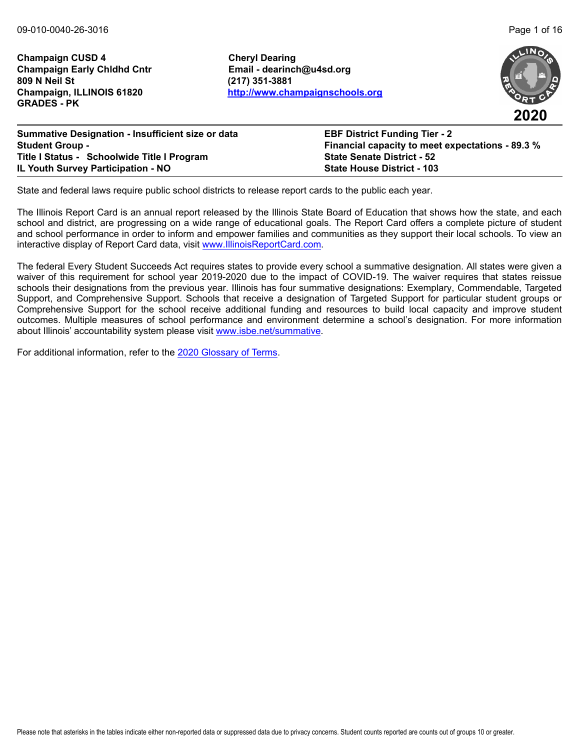**Champaign CUSD 4 Cheryl Dearing Champaign Early Chldhd Cntr Email - dearinch@u4sd.org 809 N Neil St (217) 351-3881 GRADES - PK**

**Champaign, ILLINOIS 61820 <http://www.champaignschools.org>**





| <b>Summative Designation - Insufficient size or data</b> | <b>EBF District Funding Tier - 2</b>                    |
|----------------------------------------------------------|---------------------------------------------------------|
| <b>Student Group -</b>                                   | <b>Financial capacity to meet expectations - 89.3 %</b> |
| Title I Status - Schoolwide Title I Program              | <b>State Senate District - 52</b>                       |
| <b>IL Youth Survey Participation - NO</b>                | <b>State House District - 103</b>                       |

State and federal laws require public school districts to release report cards to the public each year.

The Illinois Report Card is an annual report released by the Illinois State Board of Education that shows how the state, and each school and district, are progressing on a wide range of educational goals. The Report Card offers a complete picture of student and school performance in order to inform and empower families and communities as they support their local schools. To view an interactive display of Report Card data, visit [www.IllinoisReportCard.com](https://www.illinoisreportcard.com/).

The federal Every Student Succeeds Act requires states to provide every school a summative designation. All states were given a waiver of this requirement for school year 2019-2020 due to the impact of COVID-19. The waiver requires that states reissue schools their designations from the previous year. Illinois has four summative designations: Exemplary, Commendable, Targeted Support, and Comprehensive Support. Schools that receive a designation of Targeted Support for particular student groups or Comprehensive Support for the school receive additional funding and resources to build local capacity and improve student outcomes. Multiple measures of school performance and environment determine a school's designation. For more information [about Illinois' accountabil](https://www.isbe.net/summative)ity system please visit [www.isbe.net/summative.](http://www.isbe.net/summative)

For additional information, refer to th[e 2020 Glossary of Terms.](https://www.isbe.net/Documents/2020-Glossary-of-Terms.pdf)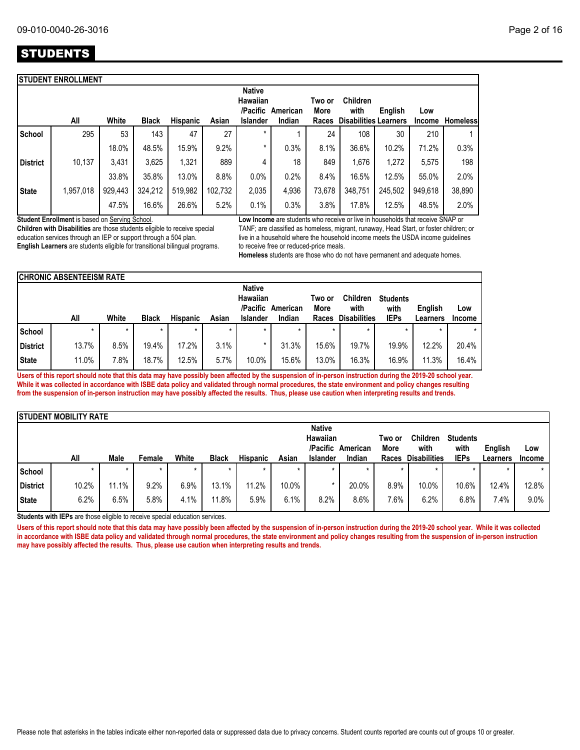|                 | <b>ISTUDENT ENROLLMENT</b> |         |              |          |         |                                       |          |                |                              |         |               |                 |
|-----------------|----------------------------|---------|--------------|----------|---------|---------------------------------------|----------|----------------|------------------------------|---------|---------------|-----------------|
|                 |                            |         |              |          |         | <b>Native</b><br>Hawaiian<br>/Pacific | American | Two or<br>More | <b>Children</b><br>with      | English | Low           |                 |
|                 | All                        | White   | <b>Black</b> | Hispanic | Asian   | Islander                              | Indian   | Races          | <b>Disabilities Learners</b> |         | <b>Income</b> | <b>Homeless</b> |
| School          | 295                        | 53      | 143          | 47       | 27      | $\star$                               |          | 24             | 108                          | 30      | 210           |                 |
|                 |                            | 18.0%   | 48.5%        | 15.9%    | 9.2%    | *                                     | 0.3%     | 8.1%           | 36.6%                        | 10.2%   | 71.2%         | 0.3%            |
| <b>District</b> | 10,137                     | 3,431   | 3,625        | 1,321    | 889     | 4                                     | 18       | 849            | 1,676                        | 1,272   | 5,575         | 198             |
|                 |                            | 33.8%   | 35.8%        | 13.0%    | 8.8%    | 0.0%                                  | 0.2%     | 8.4%           | 16.5%                        | 12.5%   | 55.0%         | 2.0%            |
| <b>State</b>    | 1,957,018                  | 929,443 | 324,212      | 519,982  | 102,732 | 2,035                                 | 4,936    | 73,678         | 348,751                      | 245,502 | 949.618       | 38,890          |
|                 |                            | 47.5%   | 16.6%        | 26.6%    | 5.2%    | 0.1%                                  | 0.3%     | 3.8%           | 17.8%                        | 12.5%   | 48.5%         | 2.0%            |

**Student Enrollment** is based on Serving School.

**Children with Disabilities** are those students eligible to receive special education services through an IEP or support through a 504 plan. **English Learners** are students eligible for transitional bilingual programs. **Low Income** are students who receive or live in households that receive SNAP or TANF; are classified as homeless, migrant, runaway, Head Start, or foster children; or live in a household where the household income meets the USDA income guidelines to receive free or reduced-price meals.

**Homeless** students are those who do not have permanent and adequate homes.

|                 | <b>CHRONIC ABSENTEEISM RATE</b>       |       |              |                 |         |                 |          |                |                         |                         |          |               |  |
|-----------------|---------------------------------------|-------|--------------|-----------------|---------|-----------------|----------|----------------|-------------------------|-------------------------|----------|---------------|--|
|                 | <b>Native</b><br>Hawaiian<br>/Pacific |       |              |                 |         |                 | American | Two or<br>More | <b>Children</b><br>with | <b>Students</b><br>with | English  | Low           |  |
|                 | All                                   | White | <b>Black</b> | <b>Hispanic</b> | Asian   | <b>Islander</b> | Indian   | Races          | <b>Disabilities</b>     | <b>IEPs</b>             | Learners | <b>Income</b> |  |
| School          |                                       |       | $\star$      | $\star$         | $\star$ |                 | $\star$  |                | $\star$                 |                         |          |               |  |
| <b>District</b> | 13.7%                                 | 8.5%  | 19.4%        | 17.2%           | 3.1%    |                 | 31.3%    | 15.6%          | 19.7%                   | 19.9%                   | 12.2%    | 20.4%         |  |
| <b>State</b>    | 11.0%                                 | '.8%  | 18.7%        | 12.5%           | 5.7%    | 10.0%           | 15.6%    | 13.0%          | 16.3%                   | 16.9%                   | 11.3%    | 16.4%         |  |

**Users of this report should note that this data may have possibly been affected by the suspension of in-person instruction during the 2019-20 school year. While it was collected in accordance with ISBE data policy and validated through normal procedures, the state environment and policy changes resulting from the suspension of in-person instruction may have possibly affected the results. Thus, please use caution when interpreting results and trends.**

|                 | <b>ISTUDENT MOBILITY RATE</b> |      |        |       |              |                 |         |                 |                   |         |                     |                 |          |               |
|-----------------|-------------------------------|------|--------|-------|--------------|-----------------|---------|-----------------|-------------------|---------|---------------------|-----------------|----------|---------------|
|                 | <b>Native</b>                 |      |        |       |              |                 |         |                 |                   |         |                     |                 |          |               |
|                 |                               |      |        |       |              |                 |         | Hawaiian        |                   | Two or  | <b>Children</b>     | <b>Students</b> |          |               |
|                 |                               |      |        |       |              |                 |         |                 | /Pacific American | More    | with                | with            | English  | Low           |
|                 | All                           | Male | Female | White | <b>Black</b> | <b>Hispanic</b> | Asian   | <b>Islander</b> | Indian            | Races   | <b>Disabilities</b> | <b>IEPs</b>     | Learners | <b>Income</b> |
| l School        | $\star$                       |      |        | ÷     | ÷            |                 | $\star$ | $\star$         | $\star$           | $\star$ |                     |                 |          | $\star$       |
| <b>District</b> | 10.2%                         | 1.1% | 9.2%   | 6.9%  | 13.1%        | 11.2%           | 10.0%   | *               | 20.0%             | 8.9%    | 10.0%               | 10.6%           | 12.4%    | 12.8%         |
| <b>State</b>    | 6.2%                          | 6.5% | 5.8%   | 4.1%  | 11.8%        | 5.9%            | 6.1%    | 8.2%            | 8.6%              | 7.6%    | 6.2%                | 6.8%            | 7.4%     | 9.0%          |

**Students with IEPs** are those eligible to receive special education services.

Users of this report should note that this data may have possibly been affected by the suspension of in-person instruction during the 2019-20 school year. While it was collected **in accordance with ISBE data policy and validated through normal procedures, the state environment and policy changes resulting from the suspension of in-person instruction may have possibly affected the results. Thus, please use caution when interpreting results and trends.**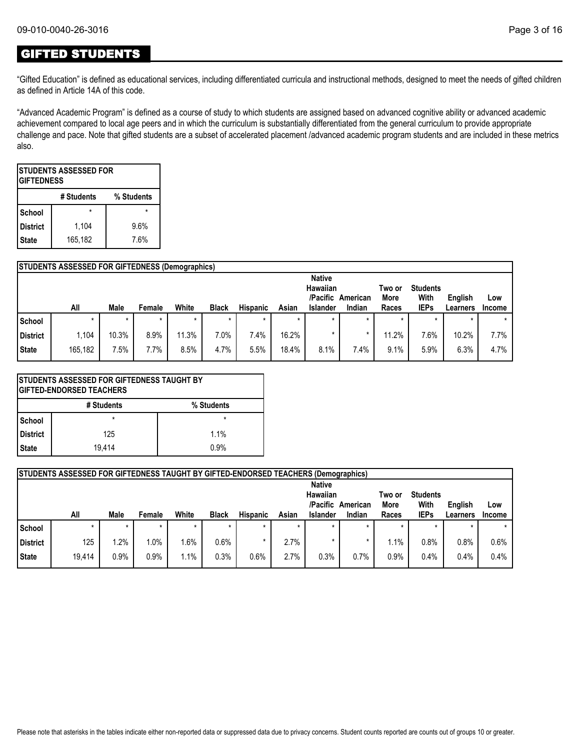## GIFTED STUDENTS

"Gifted Education" is defined as educational services, including differentiated curricula and instructional methods, designed to meet the needs of gifted children as defined in Article 14A of this code.

"Advanced Academic Program" is defined as a course of study to which students are assigned based on advanced cognitive ability or advanced academic achievement compared to local age peers and in which the curriculum is substantially differentiated from the general curriculum to provide appropriate challenge and pace. Note that gifted students are a subset of accelerated placement /advanced academic program students and are included in these metrics also.

| ISTUDENTS ASSESSED FOR<br><b>GIFTEDNESS</b> |       |      |  |  |  |  |  |  |  |  |  |  |
|---------------------------------------------|-------|------|--|--|--|--|--|--|--|--|--|--|
| # Students<br>% Students                    |       |      |  |  |  |  |  |  |  |  |  |  |
| School                                      |       |      |  |  |  |  |  |  |  |  |  |  |
| <b>District</b>                             | 1,104 | 9.6% |  |  |  |  |  |  |  |  |  |  |
| 165,182<br>7.6%<br><b>State</b>             |       |      |  |  |  |  |  |  |  |  |  |  |

|               | <b>STUDENTS ASSESSED FOR GIFTEDNESS (Demographics)</b> |        |        |       |              |                 |         |               |          |             |                 |          |         |
|---------------|--------------------------------------------------------|--------|--------|-------|--------------|-----------------|---------|---------------|----------|-------------|-----------------|----------|---------|
|               |                                                        |        |        |       |              |                 |         | <b>Native</b> |          |             |                 |          |         |
|               |                                                        |        |        |       |              |                 |         | Hawaiian      |          | Two or      | <b>Students</b> |          |         |
|               |                                                        |        |        |       |              |                 |         | /Pacific      | American | <b>More</b> | With            | English  | Low     |
|               | All                                                    | Male   | Female | White | <b>Black</b> | <b>Hispanic</b> | Asian   | Islander      | Indian   | Races       | <b>IEPs</b>     | Learners | Income  |
| <b>School</b> | $\star$                                                | $\ast$ |        |       | $\star$      | $\star$         | $\star$ | $\star$       |          | $\star$     |                 | $\star$  | $\star$ |
| District      | 1.104                                                  | 10.3%  | 8.9%   | 11.3% | 7.0%         | 7.4%            | 16.2%   |               |          | 11.2%       | 7.6%            | 10.2%    | 7.7%    |
| <b>State</b>  | 165,182                                                | 7.5%   | 7.7%   | 8.5%  | 4.7%         | 5.5%            | 18.4%   | 8.1%          | 7.4%     | 9.1%        | 5.9%            | 6.3%     | 4.7%    |

|            | <b>STUDENTS ASSESSED FOR GIFTEDNESS TAUGHT BY</b><br><b> GIFTED-ENDORSED TEACHERS</b> |            |
|------------|---------------------------------------------------------------------------------------|------------|
|            | # Students                                                                            | % Students |
| l School   | $\star$                                                                               | $\star$    |
| l District | 125                                                                                   | 1.1%       |
| l State    | 19.414                                                                                | 0.9%       |

|                 | <b>STUDENTS ASSESSED FOR GIFTEDNESS TAUGHT BY GIFTED-ENDORSED TEACHERS (Demographics)</b> |         |        |       |              |                 |       |                                                          |                    |                         |                                        |                     |               |
|-----------------|-------------------------------------------------------------------------------------------|---------|--------|-------|--------------|-----------------|-------|----------------------------------------------------------|--------------------|-------------------------|----------------------------------------|---------------------|---------------|
|                 | All                                                                                       | Male    | Female | White | <b>Black</b> | <b>Hispanic</b> | Asian | <b>Native</b><br>Hawaiian<br>/Pacific<br><b>Islander</b> | American<br>Indian | Two or<br>More<br>Races | <b>Students</b><br>With<br><b>IEPs</b> | English<br>Learners | Low<br>Income |
| l School        |                                                                                           | $\star$ |        |       | $\star$      |                 |       |                                                          |                    |                         | $\star$                                |                     |               |
| <b>District</b> | 125                                                                                       | $1.2\%$ | 1.0%   | 1.6%  | 0.6%         |                 | 2.7%  |                                                          |                    | $.1\%$                  | 0.8%                                   | $0.8\%$             | 0.6%          |
| l State         | 19,414                                                                                    | 0.9%    | 0.9%   | 1.1%  | 0.3%         | 0.6%            | 2.7%  | $0.3\%$                                                  | 0.7%               | 0.9%                    | 0.4%                                   | $0.4\%$             | 0.4%          |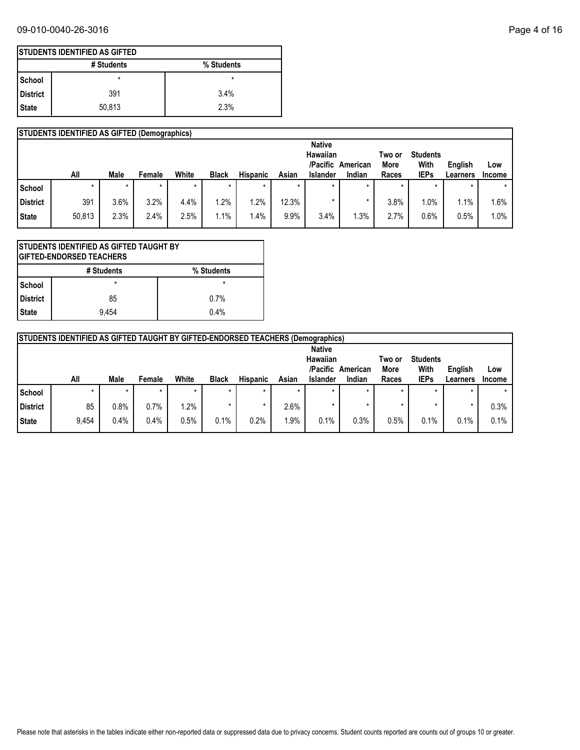## 09-010-0040-26-3016 Page 4 of 16

|            | <b>ISTUDENTS IDENTIFIED AS GIFTED</b> |            |  |  |  |  |  |  |  |  |  |  |
|------------|---------------------------------------|------------|--|--|--|--|--|--|--|--|--|--|
|            | # Students                            | % Students |  |  |  |  |  |  |  |  |  |  |
| l School   | *                                     | *          |  |  |  |  |  |  |  |  |  |  |
| l District | 391                                   | 3.4%       |  |  |  |  |  |  |  |  |  |  |
| State      | 50,813                                | 2.3%       |  |  |  |  |  |  |  |  |  |  |

|                 | <b>STUDENTS IDENTIFIED AS GIFTED (Demographics)</b> |         |         |       |              |                 |       |                                                          |                    |                         |                                        |                     |                      |
|-----------------|-----------------------------------------------------|---------|---------|-------|--------------|-----------------|-------|----------------------------------------------------------|--------------------|-------------------------|----------------------------------------|---------------------|----------------------|
|                 | All                                                 | Male    | Female  | White | <b>Black</b> | <b>Hispanic</b> | Asian | <b>Native</b><br>Hawaiian<br>/Pacific<br><b>Islander</b> | American<br>Indian | Two or<br>More<br>Races | <b>Students</b><br>With<br><b>IEPs</b> | English<br>Learners | Low<br><b>Income</b> |
| School          |                                                     | $\star$ | $\star$ |       | $\star$      |                 |       |                                                          |                    |                         | $\star$                                |                     | $\star$              |
| <b>District</b> | 391                                                 | 3.6%    | 3.2%    | 4.4%  | $.2\%$       | .2%             | 12.3% |                                                          |                    | 3.8%                    | $1.0\%$                                | 1.1%                | 1.6%                 |
| State           | 50,813                                              | 2.3%    | 2.4%    | 2.5%  | $.1\%$       | .4%             | 9.9%  | 3.4%                                                     | .3%                | 2.7%                    | 0.6%                                   | 0.5%                | 1.0%                 |

| STUDENTS IDENTIFIED AS GIFTED TAUGHT BY<br><b>GIFTED-ENDORSED TEACHERS</b> |         |      |  |  |  |  |  |  |  |  |  |
|----------------------------------------------------------------------------|---------|------|--|--|--|--|--|--|--|--|--|
| # Students<br>% Students                                                   |         |      |  |  |  |  |  |  |  |  |  |
| <b>School</b>                                                              | $\star$ |      |  |  |  |  |  |  |  |  |  |
| District                                                                   | 85      | 0.7% |  |  |  |  |  |  |  |  |  |
| <b>State</b>                                                               | 9.454   | 0.4% |  |  |  |  |  |  |  |  |  |

|          | <b>STUDENTS IDENTIFIED AS GIFTED TAUGHT BY GIFTED-ENDORSED TEACHERS (Demographics)</b>         |         |         |         |              |                 |         |                 |        |       |             |                     |                      |
|----------|------------------------------------------------------------------------------------------------|---------|---------|---------|--------------|-----------------|---------|-----------------|--------|-------|-------------|---------------------|----------------------|
|          | <b>Native</b><br>Hawaiian<br><b>Students</b><br>Two or<br>/Pacific<br>With<br>More<br>American |         |         |         |              |                 |         |                 |        |       |             |                     |                      |
|          | All                                                                                            | Male    | Female  | White   | <b>Black</b> | <b>Hispanic</b> | Asian   | <b>Islander</b> | Indian | Races | <b>IEPs</b> | English<br>Learners | Low<br><b>Income</b> |
| School   |                                                                                                | $\star$ | $\star$ | $\star$ | $\star$      |                 | $\star$ | $\star$         |        |       | ÷           |                     |                      |
| District | 85                                                                                             | 0.8%    | 0.7%    | 1.2%    | ÷            |                 | 2.6%    |                 |        |       |             |                     | 0.3%                 |
| State    | 9,454                                                                                          | 0.4%    | 0.4%    | 0.5%    | 0.1%         | 0.2%            | $1.9\%$ | 0.1%            | 0.3%   | 0.5%  | 0.1%        | 0.1%                | 0.1%                 |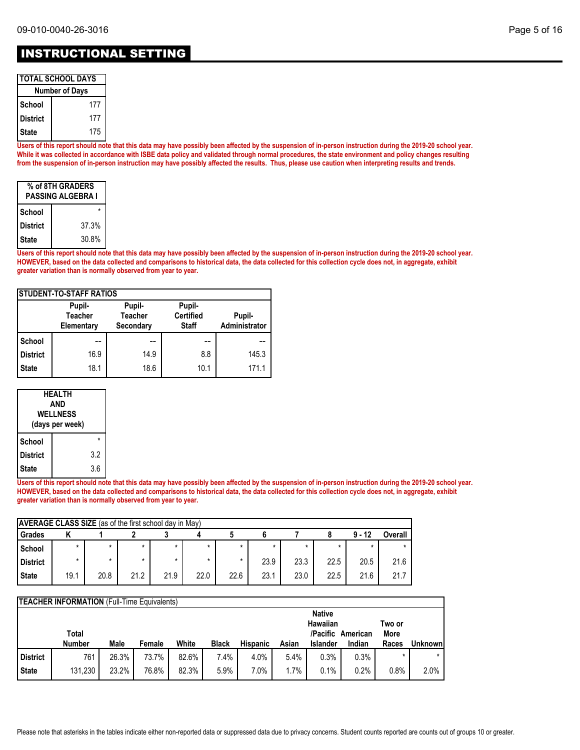| <b>TOTAL SCHOOL DAYS</b> |     |  |  |  |
|--------------------------|-----|--|--|--|
| <b>Number of Days</b>    |     |  |  |  |
| School                   | 177 |  |  |  |

| School     | 177 |
|------------|-----|
| l District | 177 |
| l State    | 175 |

**Users of this report should note that this data may have possibly been affected by the suspension of in-person instruction during the 2019-20 school year. While it was collected in accordance with ISBE data policy and validated through normal procedures, the state environment and policy changes resulting from the suspension of in-person instruction may have possibly affected the results. Thus, please use caution when interpreting results and trends.**

| % of 8TH GRADERS<br>PASSING ALGEBRA I |       |  |  |  |
|---------------------------------------|-------|--|--|--|
| School                                |       |  |  |  |
| <b>District</b>                       | 37.3% |  |  |  |
| <b>State</b>                          | 30.8% |  |  |  |

**Users of this report should note that this data may have possibly been affected by the suspension of in-person instruction during the 2019-20 school year. HOWEVER, based on the data collected and comparisons to historical data, the data collected for this collection cycle does not, in aggregate, exhibit greater variation than is normally observed from year to year.**

| <b>STUDENT-TO-STAFF RATIOS</b> |                                        |                                       |                                            |                         |  |  |  |  |
|--------------------------------|----------------------------------------|---------------------------------------|--------------------------------------------|-------------------------|--|--|--|--|
|                                | Pupil-<br><b>Teacher</b><br>Elementary | Pupil-<br><b>Teacher</b><br>Secondary | Pupil-<br><b>Certified</b><br><b>Staff</b> | Pupil-<br>Administrator |  |  |  |  |
| School                         |                                        |                                       |                                            |                         |  |  |  |  |
| <b>District</b>                | 16.9                                   | 14.9                                  | 8.8                                        | 145.3                   |  |  |  |  |
| <b>State</b>                   | 18.1                                   | 18.6                                  | 10.1                                       | 171.1                   |  |  |  |  |

| HEALTH<br>AND<br><b>WELLNESS</b><br>(days per week) |     |  |  |  |
|-----------------------------------------------------|-----|--|--|--|
| School                                              |     |  |  |  |
| <b>District</b>                                     | 3.2 |  |  |  |
| <b>State</b>                                        | 3.6 |  |  |  |

**Users of this report should note that this data may have possibly been affected by the suspension of in-person instruction during the 2019-20 school year. HOWEVER, based on the data collected and comparisons to historical data, the data collected for this collection cycle does not, in aggregate, exhibit greater variation than is normally observed from year to year.**

| <b>AVERAGE CLASS SIZE</b> (as of the first school day in May) |         |      |         |      |      |         |      |      |      |          |         |
|---------------------------------------------------------------|---------|------|---------|------|------|---------|------|------|------|----------|---------|
| Grades                                                        |         |      |         |      |      |         |      |      |      | $9 - 12$ | Overall |
| School                                                        | $\star$ |      | $\star$ |      |      | $\star$ |      |      |      |          |         |
| <b>District</b>                                               |         |      |         |      |      | *       | 23.9 | 23.3 | 22.5 | 20.5     | 21.6    |
| <b>State</b>                                                  | 19.1    | 20.8 | 21.2    | 21.9 | 22.0 | 22.6    | 23.1 | 23.0 | 22.5 | 21.6     | 21.7    |

|              | <b>TEACHER INFORMATION</b> (Full-Time Equivalents) |       |        |       |              |                 |       |                 |                             |               |          |
|--------------|----------------------------------------------------|-------|--------|-------|--------------|-----------------|-------|-----------------|-----------------------------|---------------|----------|
|              |                                                    |       |        |       |              |                 |       | <b>Native</b>   |                             |               |          |
|              |                                                    |       |        |       |              |                 |       | Hawaiian        |                             | Two or        |          |
|              | Total<br><b>Number</b>                             | Male  | Female | White | <b>Black</b> | <b>Hispanic</b> | Asian | <b>Islander</b> | /Pacific American<br>Indian | More<br>Races | Unknownl |
|              |                                                    |       |        |       |              |                 |       |                 |                             |               |          |
| District     | 761                                                | 26.3% | 73.7%  | 82.6% | 7.4%         | 4.0%            | 5.4%  | 0.3%            | $0.3\%$                     |               |          |
| <b>State</b> | 131,230                                            | 23.2% | 76.8%  | 82.3% | 5.9%         | $7.0\%$         | 1.7%  | 0.1%            | 0.2%                        | 0.8%          | 2.0%     |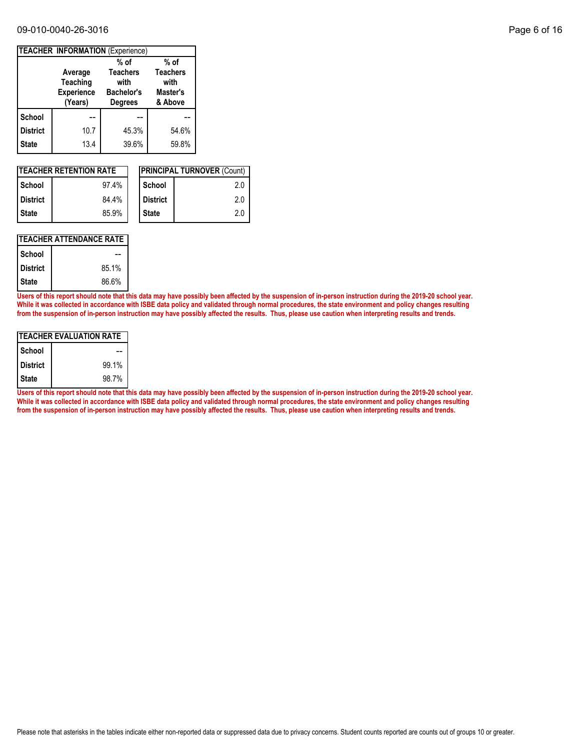#### 09-010-0040-26-3016 Page 6 of 16

|              | TEACHER INFORMATION (Experience)                    |                                                                |                                                |
|--------------|-----------------------------------------------------|----------------------------------------------------------------|------------------------------------------------|
|              |                                                     | $%$ of                                                         | % of                                           |
|              | Average<br>Teaching<br><b>Experience</b><br>(Years) | <b>Teachers</b><br>with<br><b>Bachelor's</b><br><b>Degrees</b> | <b>Teachers</b><br>with<br>Master's<br>& Above |
| School       |                                                     |                                                                |                                                |
| District     | 10.7                                                | 45.3%                                                          | 54.6%                                          |
| <b>State</b> | 13.4                                                | 39.6%                                                          | 59.8%                                          |

| <b>ITEACHER RETENTION RATE</b> |       |  |                 | <b>IPRINCIPAL TURNOVER (Count)</b> |
|--------------------------------|-------|--|-----------------|------------------------------------|
| l School                       | 97.4% |  | School          | 2.0                                |
| <b>District</b>                | 84.4% |  | <b>District</b> | 2.0                                |
| l State                        | 85.9% |  | <b>State</b>    | 2.0                                |

### **TEACHER ATTENDANCE RATE**

| School          |       |
|-----------------|-------|
| <b>District</b> | 85.1% |
| <b>State</b>    | 86.6% |

**Users of this report should note that this data may have possibly been affected by the suspension of in-person instruction during the 2019-20 school year. While it was collected in accordance with ISBE data policy and validated through normal procedures, the state environment and policy changes resulting from the suspension of in-person instruction may have possibly affected the results. Thus, please use caution when interpreting results and trends.**

| ITEACHER EVALUATION RATE |       |  |  |  |
|--------------------------|-------|--|--|--|
| School                   |       |  |  |  |
| <b>District</b>          | 99.1% |  |  |  |
| <b>State</b>             | 98.7% |  |  |  |

**Users of this report should note that this data may have possibly been affected by the suspension of in-person instruction during the 2019-20 school year. While it was collected in accordance with ISBE data policy and validated through normal procedures, the state environment and policy changes resulting from the suspension of in-person instruction may have possibly affected the results. Thus, please use caution when interpreting results and trends.**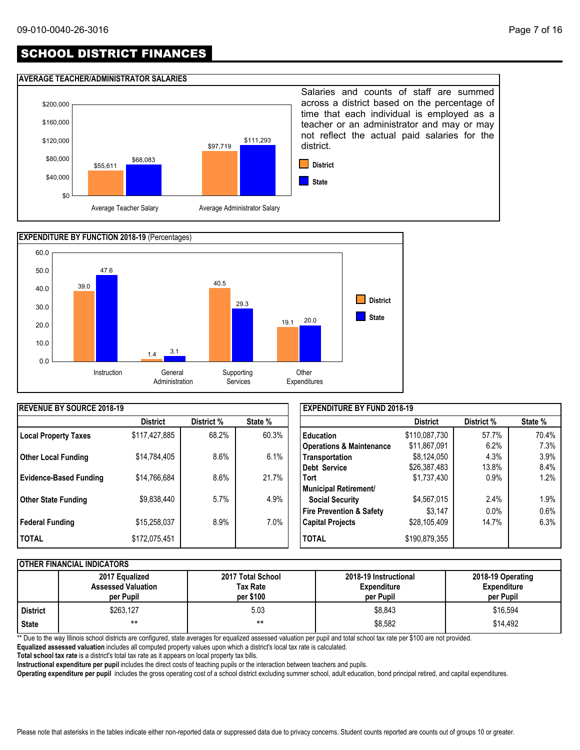# SCHOOL DISTRICT FINANCES

#### **AVERAGE TEACHER/ADMINISTRATOR SALARIES**





| <b>IREVENUE BY SOURCE 2018-19</b> |                 |            |         | <b>EXPENDITURE BY FUND 2018-19</b>  |                 |            |         |
|-----------------------------------|-----------------|------------|---------|-------------------------------------|-----------------|------------|---------|
|                                   | <b>District</b> | District % | State % |                                     | <b>District</b> | District % | State % |
| <b>Local Property Taxes</b>       | \$117,427,885   | 68.2%      | 60.3%   | <b>Education</b>                    | \$110,087,730   | 57.7%      | 70.4%   |
|                                   |                 |            |         | <b>Operations &amp; Maintenance</b> | \$11,867,091    | 6.2%       | 7.3%    |
| <b>Other Local Funding</b>        | \$14,784,405    | 8.6%       | 6.1%    | Transportation                      | \$8,124,050     | 4.3%       | 3.9%    |
|                                   |                 |            |         | Debt Service                        | \$26,387,483    | 13.8%      | 8.4%    |
| <b>Evidence-Based Funding</b>     | \$14,766,684    | 8.6%       | 21.7%   | <b>Tort</b>                         | \$1,737,430     | $0.9\%$    | 1.2%    |
|                                   |                 |            |         | Municipal Retirement/               |                 |            |         |
| <b>Other State Funding</b>        | \$9,838,440     | 5.7%       | 4.9%    | <b>Social Security</b>              | \$4,567,015     | 2.4%       | 1.9%    |
|                                   |                 |            |         | <b>Fire Prevention &amp; Safety</b> | \$3.147         | $0.0\%$    | 0.6%    |
| Federal Funding                   | \$15,258,037    | 8.9%       | $7.0\%$ | <b>Capital Projects</b>             | \$28,105,409    | 14.7%      | 6.3%    |
| <b>TOTAL</b>                      | \$172,075,451   |            |         | <b>TOTAL</b>                        | \$190,879,355   |            |         |

#### **OTHER FINANCIAL INDICATORS**

|                 | 2017 Equalized<br><b>Assessed Valuation</b><br>per Pupil | 2017 Total School<br>Tax Rate<br>per \$100 | 2018-19 Instructional<br><b>Expenditure</b><br>per Pupil | 2018-19 Operating<br><b>Expenditure</b><br>per Pupil |
|-----------------|----------------------------------------------------------|--------------------------------------------|----------------------------------------------------------|------------------------------------------------------|
| <b>District</b> | \$263,127                                                | 5.03                                       | \$8.843                                                  | \$16,594                                             |
| <b>State</b>    | $***$                                                    | $***$                                      | \$8,582                                                  | \$14.492                                             |

\*\* Due to the way Illinois school districts are configured, state averages for equalized assessed valuation per pupil and total school tax rate per \$100 are not provided.

**Equalized assessed valuation** includes all computed property values upon which a district's local tax rate is calculated.

**Total school tax rate** is a district's total tax rate as it appears on local property tax bills.

**Instructional expenditure per pupil** includes the direct costs of teaching pupils or the interaction between teachers and pupils.

**Operating expenditure per pupil** includes the gross operating cost of a school district excluding summer school, adult education, bond principal retired, and capital expenditures.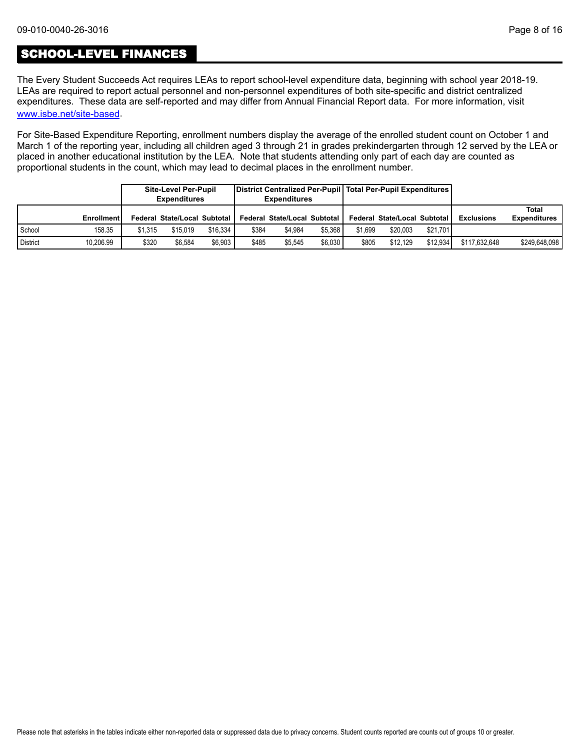## SCHOOL-LEVEL FINANCES

[www.isbe.net/site-based](https://www.isbe.net/site-based). The Every Student Succeeds Act requires LEAs to report school-level expenditure data, beginning with school year 2018-19. LEAs are required to report actual personnel and non-personnel expenditures of both site-specific and district centralized expenditures. These data are self-reported and may differ from Annual Financial Report data. For more information, visit

For Site-Based Expenditure Reporting, enrollment numbers display the average of the enrolled student count on October 1 and March 1 of the reporting year, including all children aged 3 through 21 in grades prekindergarten through 12 served by the LEA or placed in another educational institution by the LEA. Note that students attending only part of each day are counted as proportional students in the count, which may lead to decimal places in the enrollment number.

|          |            |         | <b>Site-Level Per-Pupil</b><br><b>Expenditures</b> |          |       | District Centralized Per-Pupil   Total Per-Pupil Expenditures  <br><b>Expenditures</b> |         |         |                              |          |                   |                              |
|----------|------------|---------|----------------------------------------------------|----------|-------|----------------------------------------------------------------------------------------|---------|---------|------------------------------|----------|-------------------|------------------------------|
|          | Enrollment |         | Federal State/Local Subtotal I                     |          |       | Federal State/Local Subtotal                                                           |         |         | Federal State/Local Subtotal |          | <b>Exclusions</b> | Total<br><b>Expenditures</b> |
| School   | 158.35     | \$1.315 | \$15.019                                           | \$16.334 | \$384 | \$4.984                                                                                | \$5.368 | \$1.699 | \$20.003                     | \$21.701 |                   |                              |
| District | 10,206.99  | \$320   | \$6.584                                            | \$6.903  | \$485 | \$5.545                                                                                | \$6.030 | \$805   | \$12.129                     | \$12.934 | \$117.632.648     | \$249,648,098                |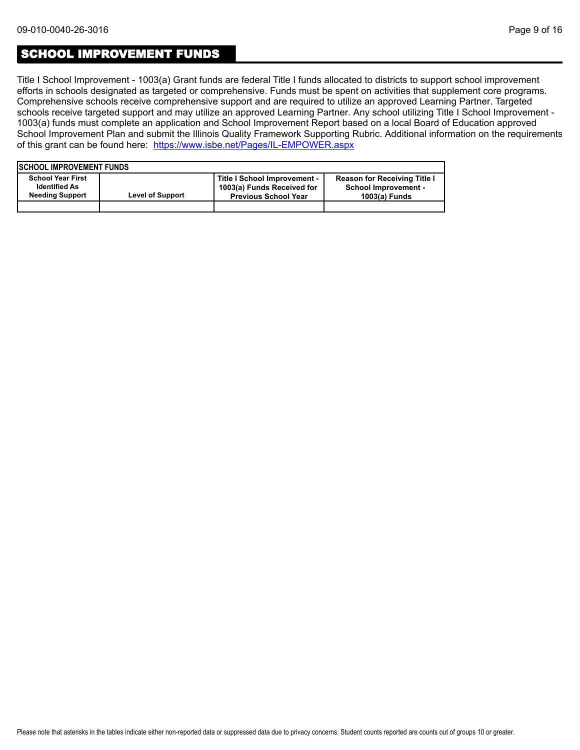### SCHOOL IMPROVEMENT FUNDS

Title I School Improvement - 1003(a) Grant funds are federal Title I funds allocated to districts to support school improvement efforts in schools designated as targeted or comprehensive. Funds must be spent on activities that supplement core programs. Comprehensive schools receive comprehensive support and are required to utilize an approved Learning Partner. Targeted schools receive targeted support and may utilize an approved Learning Partner. Any school utilizing Title I School Improvement - 1003(a) funds must complete an application and School Improvement Report based on a local Board of Education approved School Improvement Plan and submit the Illinois Quality Framework Supporting Rubric. Additional information on the requirements of this grant can be found here:<https://www.isbe.net/Pages/IL-EMPOWER.aspx>

| <b>ISCHOOL IMPROVEMENT FUNDS</b>                                           |                         |                                                                                           |                                                                                     |
|----------------------------------------------------------------------------|-------------------------|-------------------------------------------------------------------------------------------|-------------------------------------------------------------------------------------|
| <b>School Year First</b><br><b>Identified As</b><br><b>Needing Support</b> | <b>Level of Support</b> | Title I School Improvement -<br>1003(a) Funds Received for<br><b>Previous School Year</b> | <b>Reason for Receiving Title I</b><br><b>School Improvement -</b><br>1003(a) Funds |
|                                                                            |                         |                                                                                           |                                                                                     |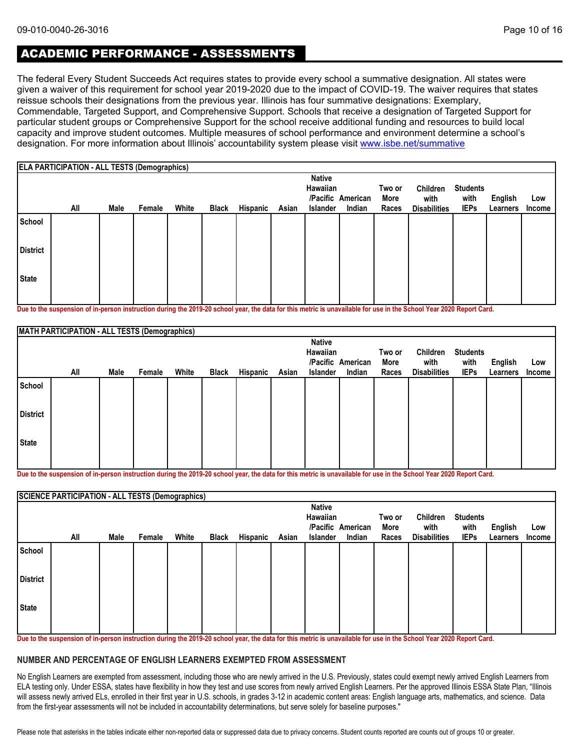# ACADEMIC PERFORMANCE - ASSESSMENTS

The federal Every Student Succeeds Act requires states to provide every school a summative designation. All states were given a waiver of this requirement for school year 2019-2020 due to the impact of COVID-19. The waiver requires that states reissue schools their designations from the previous year. Illinois has four summative designations: Exemplary, Commendable, Targeted Support, and Comprehensive Support. Schools that receive a designation of Targeted Support for particular student groups or Comprehensive Support for the school receive additional funding and resources to build local capacity and improve student outcomes. Multiple measures of school performance and environment determine a school's designation. For more information about Illinois' accountability system please visit [www.isbe.net/summative](http://www.isbe.net/summative)

|                 | <b>ELA PARTICIPATION - ALL TESTS (Demographics)</b> |      |        |       |              |          |       |                                              |                             |                         |                                         |                                        |                            |                      |
|-----------------|-----------------------------------------------------|------|--------|-------|--------------|----------|-------|----------------------------------------------|-----------------------------|-------------------------|-----------------------------------------|----------------------------------------|----------------------------|----------------------|
|                 | All                                                 | Male | Female | White | <b>Black</b> | Hispanic | Asian | <b>Native</b><br>Hawaiian<br><b>Islander</b> | /Pacific American<br>Indian | Two or<br>More<br>Races | Children<br>with<br><b>Disabilities</b> | <b>Students</b><br>with<br><b>IEPs</b> | <b>English</b><br>Learners | Low<br><b>Income</b> |
| School          |                                                     |      |        |       |              |          |       |                                              |                             |                         |                                         |                                        |                            |                      |
| <b>District</b> |                                                     |      |        |       |              |          |       |                                              |                             |                         |                                         |                                        |                            |                      |
| <b>State</b>    |                                                     |      |        |       |              |          |       |                                              |                             |                         |                                         |                                        |                            |                      |

**Due to the suspension of in-person instruction during the 2019-20 school year, the data for this metric is unavailable for use in the School Year 2020 Report Card.**

|                 | MATH PARTICIPATION - ALL TESTS (Demographics) |      |        |       |              |          |       |                           |                   |        |                     |                 |          |        |
|-----------------|-----------------------------------------------|------|--------|-------|--------------|----------|-------|---------------------------|-------------------|--------|---------------------|-----------------|----------|--------|
|                 |                                               |      |        |       |              |          |       | <b>Native</b><br>Hawaiian |                   | Two or | Children            | <b>Students</b> |          |        |
|                 |                                               |      |        |       |              |          |       |                           | /Pacific American | More   | with                | with            | English  | Low    |
|                 | All                                           | Male | Female | White | <b>Black</b> | Hispanic | Asian | Islander                  | Indian            | Races  | <b>Disabilities</b> | <b>IEPs</b>     | Learners | Income |
| School          |                                               |      |        |       |              |          |       |                           |                   |        |                     |                 |          |        |
| <b>District</b> |                                               |      |        |       |              |          |       |                           |                   |        |                     |                 |          |        |
| State           |                                               |      |        |       |              |          |       |                           |                   |        |                     |                 |          |        |
|                 |                                               |      |        |       |              |          |       |                           |                   |        |                     |                 |          |        |

**Due to the suspension of in-person instruction during the 2019-20 school year, the data for this metric is unavailable for use in the School Year 2020 Report Card.**

|                 | <b>SCIENCE PARTICIPATION - ALL TESTS (Demographics)</b> |      |        |       |              |          |       |                           |                   |        |                     |                 |          |        |
|-----------------|---------------------------------------------------------|------|--------|-------|--------------|----------|-------|---------------------------|-------------------|--------|---------------------|-----------------|----------|--------|
|                 |                                                         |      |        |       |              |          |       | <b>Native</b><br>Hawaiian |                   | Two or | Children            | <b>Students</b> |          |        |
|                 |                                                         |      |        |       |              |          |       |                           | /Pacific American | More   | with                | with            | English  | Low    |
|                 | All                                                     | Male | Female | White | <b>Black</b> | Hispanic | Asian | <b>Islander</b>           | Indian            | Races  | <b>Disabilities</b> | <b>IEPs</b>     | Learners | Income |
| School          |                                                         |      |        |       |              |          |       |                           |                   |        |                     |                 |          |        |
| <b>District</b> |                                                         |      |        |       |              |          |       |                           |                   |        |                     |                 |          |        |
| <b>State</b>    |                                                         |      |        |       |              |          |       |                           |                   |        |                     |                 |          |        |
|                 |                                                         |      |        |       |              |          |       |                           |                   |        |                     |                 |          |        |

**Due to the suspension of in-person instruction during the 2019-20 school year, the data for this metric is unavailable for use in the School Year 2020 Report Card.**

#### **NUMBER AND PERCENTAGE OF ENGLISH LEARNERS EXEMPTED FROM ASSESSMENT**

No English Learners are exempted from assessment, including those who are newly arrived in the U.S. Previously, states could exempt newly arrived English Learners from ELA testing only. Under ESSA, states have flexibility in how they test and use scores from newly arrived English Learners. Per the approved Illinois ESSA State Plan, "Illinois will assess newly arrived ELs, enrolled in their first year in U.S. schools, in grades 3-12 in academic content areas: English language arts, mathematics, and science. Data from the first-year assessments will not be included in accountability determinations, but serve solely for baseline purposes."

Please note that asterisks in the tables indicate either non-reported data or suppressed data due to privacy concerns. Student counts reported are counts out of groups 10 or greater.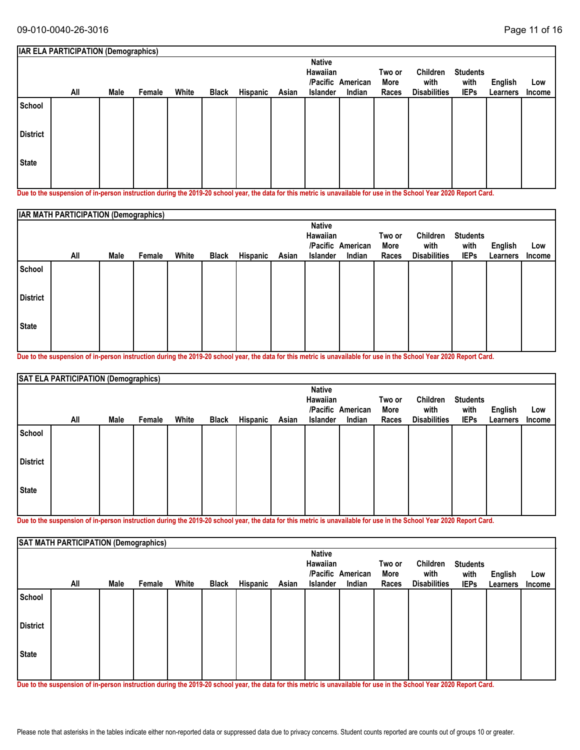|                 | <b>IAR ELA PARTICIPATION (Demographics)</b> |      |        |       |              |          |       |                                              |                             |                         |                                         |                                        |                     |               |
|-----------------|---------------------------------------------|------|--------|-------|--------------|----------|-------|----------------------------------------------|-----------------------------|-------------------------|-----------------------------------------|----------------------------------------|---------------------|---------------|
|                 | All                                         | Male | Female | White | <b>Black</b> | Hispanic | Asian | <b>Native</b><br>Hawaiian<br><b>Islander</b> | /Pacific American<br>Indian | Two or<br>More<br>Races | Children<br>with<br><b>Disabilities</b> | <b>Students</b><br>with<br><b>IEPs</b> | English<br>Learners | Low<br>Income |
| School          |                                             |      |        |       |              |          |       |                                              |                             |                         |                                         |                                        |                     |               |
| <b>District</b> |                                             |      |        |       |              |          |       |                                              |                             |                         |                                         |                                        |                     |               |
| <b>State</b>    |                                             |      |        |       |              |          |       |                                              |                             |                         |                                         |                                        |                     |               |

**Due to the suspension of in-person instruction during the 2019-20 school year, the data for this metric is unavailable for use in the School Year 2020 Report Card.**

|                 | IAR MATH PARTICIPATION (Demographics) |      |        |       |              |          |       |                                              |                             |                         |                                         |                                        |                            |                      |
|-----------------|---------------------------------------|------|--------|-------|--------------|----------|-------|----------------------------------------------|-----------------------------|-------------------------|-----------------------------------------|----------------------------------------|----------------------------|----------------------|
|                 | All                                   | Male | Female | White | <b>Black</b> | Hispanic | Asian | <b>Native</b><br>Hawaiian<br><b>Islander</b> | /Pacific American<br>Indian | Two or<br>More<br>Races | Children<br>with<br><b>Disabilities</b> | <b>Students</b><br>with<br><b>IEPs</b> | <b>English</b><br>Learners | Low<br><b>Income</b> |
| School          |                                       |      |        |       |              |          |       |                                              |                             |                         |                                         |                                        |                            |                      |
| <b>District</b> |                                       |      |        |       |              |          |       |                                              |                             |                         |                                         |                                        |                            |                      |
| <b>State</b>    |                                       |      |        |       |              |          |       |                                              |                             |                         |                                         |                                        |                            |                      |

**Due to the suspension of in-person instruction during the 2019-20 school year, the data for this metric is unavailable for use in the School Year 2020 Report Card.**

|                 | SAT ELA PARTICIPATION (Demographics) |      |        |       |       |          |       |                                       |                             |                         |                                         |                                        |                     |               |
|-----------------|--------------------------------------|------|--------|-------|-------|----------|-------|---------------------------------------|-----------------------------|-------------------------|-----------------------------------------|----------------------------------------|---------------------|---------------|
|                 | All                                  | Male | Female | White | Black | Hispanic | Asian | <b>Native</b><br>Hawaiian<br>Islander | /Pacific American<br>Indian | Two or<br>More<br>Races | Children<br>with<br><b>Disabilities</b> | <b>Students</b><br>with<br><b>IEPs</b> | English<br>Learners | Low<br>Income |
| School          |                                      |      |        |       |       |          |       |                                       |                             |                         |                                         |                                        |                     |               |
| <b>District</b> |                                      |      |        |       |       |          |       |                                       |                             |                         |                                         |                                        |                     |               |
| <b>State</b>    |                                      |      |        |       |       |          |       |                                       |                             |                         |                                         |                                        |                     |               |

**Due to the suspension of in-person instruction during the 2019-20 school year, the data for this metric is unavailable for use in the School Year 2020 Report Card.**

|                 | SAT MATH PARTICIPATION (Demographics) |      |        |       |              |          |       |                                       |                             |                         |                                         |                                        |                            |               |
|-----------------|---------------------------------------|------|--------|-------|--------------|----------|-------|---------------------------------------|-----------------------------|-------------------------|-----------------------------------------|----------------------------------------|----------------------------|---------------|
|                 | All                                   | Male | Female | White | <b>Black</b> | Hispanic | Asian | <b>Native</b><br>Hawaiian<br>Islander | /Pacific American<br>Indian | Two or<br>More<br>Races | Children<br>with<br><b>Disabilities</b> | <b>Students</b><br>with<br><b>IEPs</b> | <b>English</b><br>Learners | Low<br>Income |
| School          |                                       |      |        |       |              |          |       |                                       |                             |                         |                                         |                                        |                            |               |
| <b>District</b> |                                       |      |        |       |              |          |       |                                       |                             |                         |                                         |                                        |                            |               |
| <b>State</b>    |                                       |      |        |       |              |          |       |                                       |                             |                         |                                         |                                        |                            |               |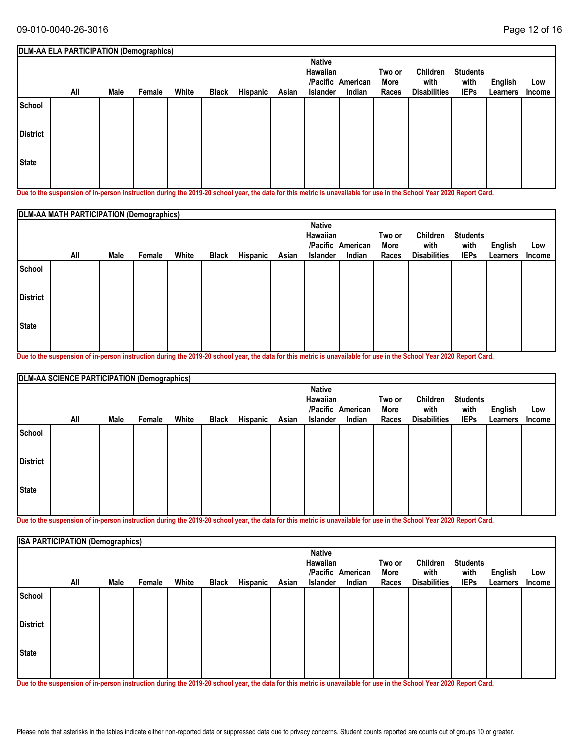| All | Male | Female | White | <b>Black</b> | Hispanic | Asian | <b>Native</b><br>Hawaiian<br><b>Islander</b> | Indian | Two or<br>More<br>Races | Children<br>with<br><b>Disabilities</b> | <b>Students</b><br>with<br><b>IEPs</b> | English<br>Learners | Low<br><b>Income</b>                    |
|-----|------|--------|-------|--------------|----------|-------|----------------------------------------------|--------|-------------------------|-----------------------------------------|----------------------------------------|---------------------|-----------------------------------------|
|     |      |        |       |              |          |       |                                              |        |                         |                                         |                                        |                     |                                         |
|     |      |        |       |              |          |       |                                              |        |                         |                                         |                                        |                     |                                         |
|     |      |        |       |              |          |       |                                              |        |                         |                                         |                                        |                     |                                         |
|     |      |        |       |              |          |       |                                              |        | /Pacific American       |                                         |                                        |                     | DLM-AA ELA PARTICIPATION (Demographics) |

**Due to the suspension of in-person instruction during the 2019-20 school year, the data for this metric is unavailable for use in the School Year 2020 Report Card.**

|                 | DLM-AA MATH PARTICIPATION (Demographics) |      |        |       |              |          |       |                                              |                             |                         |                                         |                                        |                            |                      |
|-----------------|------------------------------------------|------|--------|-------|--------------|----------|-------|----------------------------------------------|-----------------------------|-------------------------|-----------------------------------------|----------------------------------------|----------------------------|----------------------|
|                 | All                                      | Male | Female | White | <b>Black</b> | Hispanic | Asian | <b>Native</b><br>Hawaiian<br><b>Islander</b> | /Pacific American<br>Indian | Two or<br>More<br>Races | Children<br>with<br><b>Disabilities</b> | <b>Students</b><br>with<br><b>IEPs</b> | <b>English</b><br>Learners | Low<br><b>Income</b> |
| School          |                                          |      |        |       |              |          |       |                                              |                             |                         |                                         |                                        |                            |                      |
| <b>District</b> |                                          |      |        |       |              |          |       |                                              |                             |                         |                                         |                                        |                            |                      |
| <b>State</b>    |                                          |      |        |       |              |          |       |                                              |                             |                         |                                         |                                        |                            |                      |

**Due to the suspension of in-person instruction during the 2019-20 school year, the data for this metric is unavailable for use in the School Year 2020 Report Card.**

|                 | DLM-AA SCIENCE PARTICIPATION (Demographics) |      |        |       |       |          |       |                 |                   |        |                     |                 |          |        |
|-----------------|---------------------------------------------|------|--------|-------|-------|----------|-------|-----------------|-------------------|--------|---------------------|-----------------|----------|--------|
|                 |                                             |      |        |       |       |          |       | <b>Native</b>   |                   |        |                     |                 |          |        |
|                 |                                             |      |        |       |       |          |       | Hawaiian        |                   | Two or | Children            | <b>Students</b> |          |        |
|                 |                                             |      |        |       |       |          |       |                 | /Pacific American | More   | with                | with            | English  | Low    |
|                 | All                                         | Male | Female | White | Black | Hispanic | Asian | <b>Islander</b> | Indian            | Races  | <b>Disabilities</b> | <b>IEPs</b>     | Learners | Income |
| School          |                                             |      |        |       |       |          |       |                 |                   |        |                     |                 |          |        |
| <b>District</b> |                                             |      |        |       |       |          |       |                 |                   |        |                     |                 |          |        |
| <b>State</b>    |                                             |      |        |       |       |          |       |                 |                   |        |                     |                 |          |        |
|                 |                                             |      |        |       |       |          |       |                 |                   |        |                     |                 |          |        |

**Due to the suspension of in-person instruction during the 2019-20 school year, the data for this metric is unavailable for use in the School Year 2020 Report Card.**

|                 | <b>ISA PARTICIPATION (Demographics)</b> |      |        |       |              |          |       |                                       |                             |                         |                                         |                                        |                     |               |
|-----------------|-----------------------------------------|------|--------|-------|--------------|----------|-------|---------------------------------------|-----------------------------|-------------------------|-----------------------------------------|----------------------------------------|---------------------|---------------|
|                 | All                                     | Male | Female | White | <b>Black</b> | Hispanic | Asian | <b>Native</b><br>Hawaiian<br>Islander | /Pacific American<br>Indian | Two or<br>More<br>Races | Children<br>with<br><b>Disabilities</b> | <b>Students</b><br>with<br><b>IEPs</b> | English<br>Learners | Low<br>Income |
| School          |                                         |      |        |       |              |          |       |                                       |                             |                         |                                         |                                        |                     |               |
| <b>District</b> |                                         |      |        |       |              |          |       |                                       |                             |                         |                                         |                                        |                     |               |
| <b>State</b>    |                                         |      |        |       |              |          |       |                                       |                             |                         |                                         |                                        |                     |               |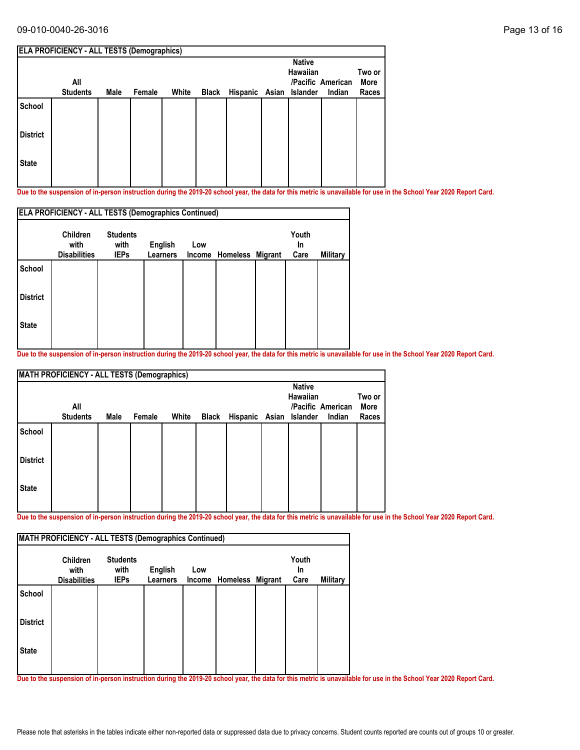#### 09-010-0040-26-3016 Page 13 of 16

|                 | <b>ELA PROFICIENCY - ALL TESTS (Demographics)</b> |      |        |       |       |                         |               |                   |        |
|-----------------|---------------------------------------------------|------|--------|-------|-------|-------------------------|---------------|-------------------|--------|
|                 |                                                   |      |        |       |       |                         | <b>Native</b> |                   |        |
|                 |                                                   |      |        |       |       |                         | Hawaiian      |                   | Two or |
|                 | All                                               |      |        |       |       |                         |               | /Pacific American | More   |
|                 | <b>Students</b>                                   | Male | Female | White | Black | Hispanic Asian Islander |               | Indian            | Races  |
| School          |                                                   |      |        |       |       |                         |               |                   |        |
| <b>District</b> |                                                   |      |        |       |       |                         |               |                   |        |
| <b>State</b>    |                                                   |      |        |       |       |                         |               |                   |        |
|                 |                                                   |      |        |       |       |                         |               |                   |        |

**Due to the suspension of in-person instruction during the 2019-20 school year, the data for this metric is unavailable for use in the School Year 2020 Report Card.**

|                 | <b>ELA PROFICIENCY - ALL TESTS (Demographics Continued)</b> |                                        |                            |                      |          |                |                     |          |  |  |  |  |
|-----------------|-------------------------------------------------------------|----------------------------------------|----------------------------|----------------------|----------|----------------|---------------------|----------|--|--|--|--|
|                 | <b>Children</b><br>with<br><b>Disabilities</b>              | <b>Students</b><br>with<br><b>IEPs</b> | <b>English</b><br>Learners | Low<br><b>Income</b> | Homeless | <b>Migrant</b> | Youth<br>In<br>Care | Military |  |  |  |  |
| <b>School</b>   |                                                             |                                        |                            |                      |          |                |                     |          |  |  |  |  |
| <b>District</b> |                                                             |                                        |                            |                      |          |                |                     |          |  |  |  |  |
| <b>State</b>    |                                                             |                                        |                            |                      |          |                |                     |          |  |  |  |  |

**Due to the suspension of in-person instruction during the 2019-20 school year, the data for this metric is unavailable for use in the School Year 2020 Report Card.**

| <b>MATH PROFICIENCY - ALL TESTS (Demographics)</b> |                        |      |        |       |       |                         |  |                                  |                             |                         |  |
|----------------------------------------------------|------------------------|------|--------|-------|-------|-------------------------|--|----------------------------------|-----------------------------|-------------------------|--|
|                                                    | All<br><b>Students</b> | Male | Female | White | Black | Hispanic Asian Islander |  | <b>Native</b><br><b>Hawaiian</b> | /Pacific American<br>Indian | Two or<br>More<br>Races |  |
| School                                             |                        |      |        |       |       |                         |  |                                  |                             |                         |  |
| <b>District</b>                                    |                        |      |        |       |       |                         |  |                                  |                             |                         |  |
| <b>State</b>                                       |                        |      |        |       |       |                         |  |                                  |                             |                         |  |

**Due to the suspension of in-person instruction during the 2019-20 school year, the data for this metric is unavailable for use in the School Year 2020 Report Card.**

|                 | <b>Children</b><br>with | <b>Students</b><br>with | <b>English</b>  | Low |                         | Youth<br><b>In</b> |          |
|-----------------|-------------------------|-------------------------|-----------------|-----|-------------------------|--------------------|----------|
|                 | <b>Disabilities</b>     | <b>IEPs</b>             | <b>Learners</b> |     | Income Homeless Migrant | Care               | Military |
| <b>School</b>   |                         |                         |                 |     |                         |                    |          |
| <b>District</b> |                         |                         |                 |     |                         |                    |          |
| <b>State</b>    |                         |                         |                 |     |                         |                    |          |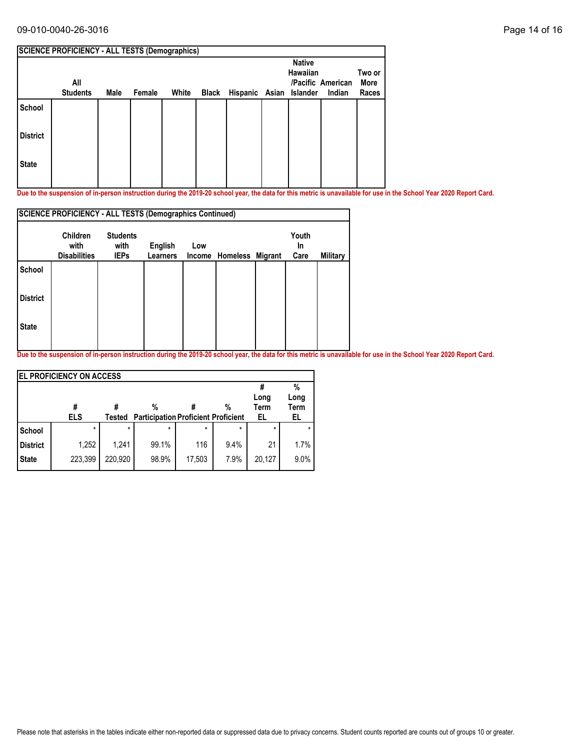### 09-010-0040-26-3016 Page 14 of 16

| <b>SCIENCE PROFICIENCY - ALL TESTS (Demographics)</b> |                        |      |        |       |  |                               |  |                                  |                             |                         |  |  |
|-------------------------------------------------------|------------------------|------|--------|-------|--|-------------------------------|--|----------------------------------|-----------------------------|-------------------------|--|--|
|                                                       | All<br><b>Students</b> | Male | Female | White |  | Black Hispanic Asian Islander |  | <b>Native</b><br><b>Hawaiian</b> | /Pacific American<br>Indian | Two or<br>More<br>Races |  |  |
| <b>School</b>                                         |                        |      |        |       |  |                               |  |                                  |                             |                         |  |  |
| <b>District</b>                                       |                        |      |        |       |  |                               |  |                                  |                             |                         |  |  |
| <b>State</b>                                          |                        |      |        |       |  |                               |  |                                  |                             |                         |  |  |

**Due to the suspension of in-person instruction during the 2019-20 school year, the data for this metric is unavailable for use in the School Year 2020 Report Card.**

|                 | <b>SCIENCE PROFICIENCY - ALL TESTS (Demographics Continued)</b> |                     |                            |     |                         |  |            |          |  |  |  |  |
|-----------------|-----------------------------------------------------------------|---------------------|----------------------------|-----|-------------------------|--|------------|----------|--|--|--|--|
|                 | <b>Children</b>                                                 | <b>Students</b>     |                            |     |                         |  | Youth      |          |  |  |  |  |
|                 | with<br><b>Disabilities</b>                                     | with<br><b>IEPs</b> | English<br><b>Learners</b> | Low | Income Homeless Migrant |  | In<br>Care | Military |  |  |  |  |
| <b>School</b>   |                                                                 |                     |                            |     |                         |  |            |          |  |  |  |  |
| <b>District</b> |                                                                 |                     |                            |     |                         |  |            |          |  |  |  |  |
| <b>State</b>    |                                                                 |                     |                            |     |                         |  |            |          |  |  |  |  |
|                 |                                                                 |                     |                            |     |                         |  |            |          |  |  |  |  |

|                 | <b>EL PROFICIENCY ON ACCESS</b> |         |                                            |         |         |         |      |
|-----------------|---------------------------------|---------|--------------------------------------------|---------|---------|---------|------|
|                 |                                 |         |                                            |         |         |         | %    |
|                 |                                 |         |                                            |         |         | Long    | Long |
|                 | #                               |         | %                                          |         | %       | Term    | Term |
|                 | <b>ELS</b>                      | Tested  | <b>Participation Proficient Proficient</b> |         |         | EL      | EL   |
| School          | $\star$                         | $\star$ | *                                          | $\star$ | $\star$ | $\star$ |      |
| <b>District</b> | 1,252                           | 1,241   | 99.1%                                      | 116     | 9.4%    | 21      | 1.7% |
| <b>State</b>    | 223,399                         | 220,920 | 98.9%                                      | 17,503  | 7.9%    | 20.127  | 9.0% |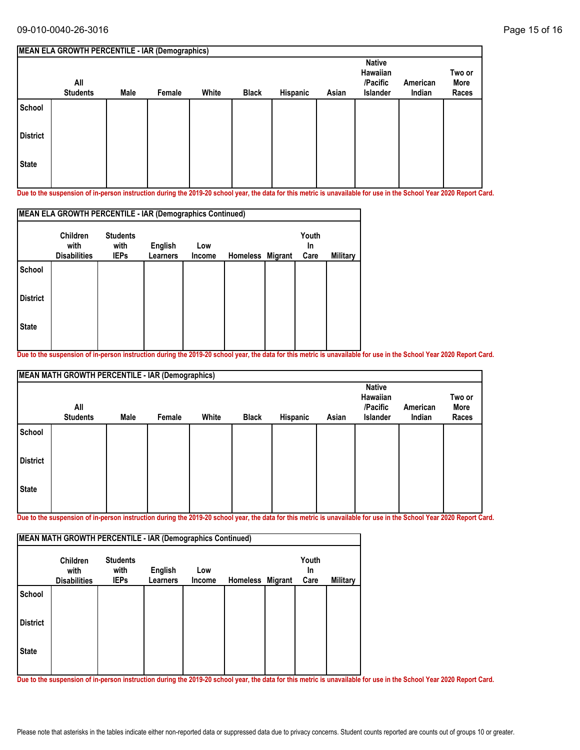|                 | MEAN ELA GROWTH PERCENTILE - IAR (Demographics) |      |        |       |              |          |       |                                                          |                    |                         |
|-----------------|-------------------------------------------------|------|--------|-------|--------------|----------|-------|----------------------------------------------------------|--------------------|-------------------------|
|                 | All<br><b>Students</b>                          | Male | Female | White | <b>Black</b> | Hispanic | Asian | <b>Native</b><br>Hawaiian<br>/Pacific<br><b>Islander</b> | American<br>Indian | Two or<br>More<br>Races |
| School          |                                                 |      |        |       |              |          |       |                                                          |                    |                         |
| <b>District</b> |                                                 |      |        |       |              |          |       |                                                          |                    |                         |
| <b>State</b>    |                                                 |      |        |       |              |          |       |                                                          |                    |                         |

**Due to the suspension of in-person instruction during the 2019-20 school year, the data for this metric is unavailable for use in the School Year 2020 Report Card.**

|                 | MEAN ELA GROWTH PERCENTILE - IAR (Demographics Continued) |                         |                 |        |                 |         |             |          |
|-----------------|-----------------------------------------------------------|-------------------------|-----------------|--------|-----------------|---------|-------------|----------|
|                 | <b>Children</b><br>with                                   | <b>Students</b><br>with | English         | Low    |                 |         | Youth<br>In |          |
|                 | <b>Disabilities</b>                                       | <b>IEPs</b>             | <b>Learners</b> | Income | <b>Homeless</b> | Migrant | Care        | Military |
| <b>School</b>   |                                                           |                         |                 |        |                 |         |             |          |
| <b>District</b> |                                                           |                         |                 |        |                 |         |             |          |
| <b>State</b>    |                                                           |                         |                 |        |                 |         |             |          |
|                 |                                                           |                         |                 |        |                 |         |             |          |

**Due to the suspension of in-person instruction during the 2019-20 school year, the data for this metric is unavailable for use in the School Year 2020 Report Card.**

|                 | <b>MEAN MATH GROWTH PERCENTILE - IAR (Demographics)</b> |      |        |       |              |          |       |                                                   |                    |                         |  |  |  |
|-----------------|---------------------------------------------------------|------|--------|-------|--------------|----------|-------|---------------------------------------------------|--------------------|-------------------------|--|--|--|
|                 | All<br><b>Students</b>                                  | Male | Female | White | <b>Black</b> | Hispanic | Asian | <b>Native</b><br>Hawaiian<br>/Pacific<br>Islander | American<br>Indian | Two or<br>More<br>Races |  |  |  |
| School          |                                                         |      |        |       |              |          |       |                                                   |                    |                         |  |  |  |
| <b>District</b> |                                                         |      |        |       |              |          |       |                                                   |                    |                         |  |  |  |
| State           |                                                         |      |        |       |              |          |       |                                                   |                    |                         |  |  |  |

**Due to the suspension of in-person instruction during the 2019-20 school year, the data for this metric is unavailable for use in the School Year 2020 Report Card.**

|                 | <b>Children</b><br>with | <b>Students</b><br>with | English         | Low    |                  | Youth<br><b>In</b> |                 |
|-----------------|-------------------------|-------------------------|-----------------|--------|------------------|--------------------|-----------------|
|                 | <b>Disabilities</b>     | <b>IEPs</b>             | <b>Learners</b> | Income | Homeless Migrant | Care               | <b>Military</b> |
| School          |                         |                         |                 |        |                  |                    |                 |
| <b>District</b> |                         |                         |                 |        |                  |                    |                 |
| <b>State</b>    |                         |                         |                 |        |                  |                    |                 |